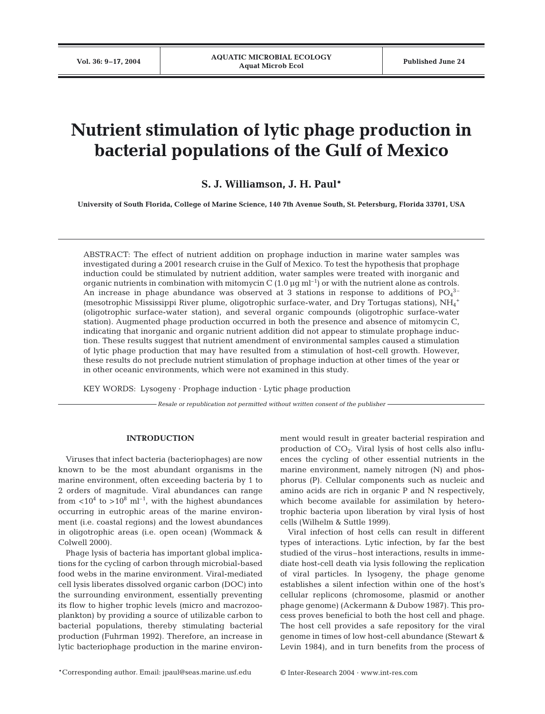# **Nutrient stimulation of lytic phage production in bacterial populations of the Gulf of Mexico**

## **S. J. Williamson, J. H. Paul\***

**University of South Florida, College of Marine Science, 140 7th Avenue South, St. Petersburg, Florida 33701, USA**

ABSTRACT: The effect of nutrient addition on prophage induction in marine water samples was investigated during a 2001 research cruise in the Gulf of Mexico. To test the hypothesis that prophage induction could be stimulated by nutrient addition, water samples were treated with inorganic and organic nutrients in combination with mitomycin C  $(1.0 \text{ µg m}^{-1})$  or with the nutrient alone as controls. An increase in phage abundance was observed at 3 stations in response to additions of  $PO_4^{3-}$ (mesotrophic Mississippi River plume, oligotrophic surface-water, and Dry Tortugas stations), NH<sub>4</sub><sup>+</sup> (oligotrophic surface-water station), and several organic compounds (oligotrophic surface-water station). Augmented phage production occurred in both the presence and absence of mitomycin C, indicating that inorganic and organic nutrient addition did not appear to stimulate prophage induction. These results suggest that nutrient amendment of environmental samples caused a stimulation of lytic phage production that may have resulted from a stimulation of host-cell growth. However, these results do not preclude nutrient stimulation of prophage induction at other times of the year or in other oceanic environments, which were not examined in this study.

KEY WORDS: Lysogeny · Prophage induction · Lytic phage production

*Resale or republication not permitted without written consent of the publisher*

#### **INTRODUCTION**

Viruses that infect bacteria (bacteriophages) are now known to be the most abundant organisms in the marine environment, often exceeding bacteria by 1 to 2 orders of magnitude. Viral abundances can range from  $\langle 10^4 \text{ to } > 10^8 \text{ ml}^{-1}$ , with the highest abundances occurring in eutrophic areas of the marine environment (i.e. coastal regions) and the lowest abundances in oligotrophic areas (i.e. open ocean) (Wommack & Colwell 2000).

Phage lysis of bacteria has important global implications for the cycling of carbon through microbial-based food webs in the marine environment. Viral-mediated cell lysis liberates dissolved organic carbon (DOC) into the surrounding environment, essentially preventing its flow to higher trophic levels (micro and macrozooplankton) by providing a source of utilizable carbon to bacterial populations, thereby stimulating bacterial production (Fuhrman 1992). Therefore, an increase in lytic bacteriophage production in the marine environ-

ment would result in greater bacterial respiration and production of  $CO<sub>2</sub>$ . Viral lysis of host cells also influences the cycling of other essential nutrients in the marine environment, namely nitrogen (N) and phosphorus (P). Cellular components such as nucleic and amino acids are rich in organic P and N respectively, which become available for assimilation by heterotrophic bacteria upon liberation by viral lysis of host cells (Wilhelm & Suttle 1999).

Viral infection of host cells can result in different types of interactions. Lytic infection, by far the best studied of the virus–host interactions, results in immediate host-cell death via lysis following the replication of viral particles. In lysogeny, the phage genome establishes a silent infection within one of the host's cellular replicons (chromosome, plasmid or another phage genome) (Ackermann & Dubow 1987). This process proves beneficial to both the host cell and phage. The host cell provides a safe repository for the viral genome in times of low host-cell abundance (Stewart & Levin 1984), and in turn benefits from the process of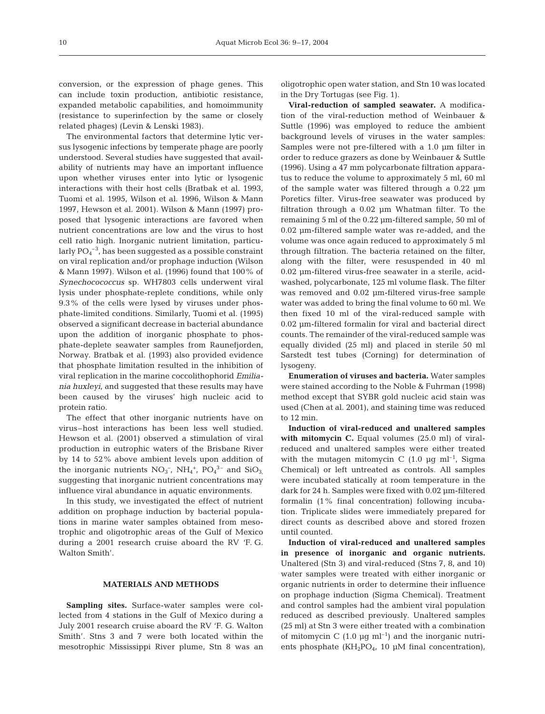conversion, or the expression of phage genes. This can include toxin production, antibiotic resistance, expanded metabolic capabilities, and homoimmunity (resistance to superinfection by the same or closely related phages) (Levin & Lenski 1983).

The environmental factors that determine lytic versus lysogenic infections by temperate phage are poorly understood. Several studies have suggested that availability of nutrients may have an important influence upon whether viruses enter into lytic or lysogenic interactions with their host cells (Bratbak et al. 1993, Tuomi et al. 1995, Wilson et al. 1996, Wilson & Mann 1997, Hewson et al. 2001). Wilson & Mann (1997) proposed that lysogenic interactions are favored when nutrient concentrations are low and the virus to host cell ratio high. Inorganic nutrient limitation, particularly  $PO_4^{-3}$ , has been suggested as a possible constraint on viral replication and/or prophage induction (Wilson & Mann 1997). Wilson et al. (1996) found that 100% of *Synechocococcus* sp. WH7803 cells underwent viral lysis under phosphate-replete conditions, while only 9.3% of the cells were lysed by viruses under phosphate-limited conditions. Similarly, Tuomi et al. (1995) observed a significant decrease in bacterial abundance upon the addition of inorganic phosphate to phosphate-deplete seawater samples from Raunefjorden, Norway. Bratbak et al. (1993) also provided evidence that phosphate limitation resulted in the inhibition of viral replication in the marine coccolithophorid *Emiliania huxleyi*, and suggested that these results may have been caused by the viruses' high nucleic acid to protein ratio.

The effect that other inorganic nutrients have on virus–host interactions has been less well studied. Hewson et al. (2001) observed a stimulation of viral production in eutrophic waters of the Brisbane River by 14 to 52% above ambient levels upon addition of the inorganic nutrients  $NO_3^-$ ,  $NH_4^+$ ,  $PO_4^{\,3-}$  and  $SiO_3$ , suggesting that inorganic nutrient concentrations may influence viral abundance in aquatic environments.

In this study, we investigated the effect of nutrient addition on prophage induction by bacterial populations in marine water samples obtained from mesotrophic and oligotrophic areas of the Gulf of Mexico during a 2001 research cruise aboard the RV 'F. G. Walton Smith'.

#### **MATERIALS AND METHODS**

**Sampling sites.** Surface-water samples were collected from 4 stations in the Gulf of Mexico during a July 2001 research cruise aboard the RV 'F. G. Walton Smith'. Stns 3 and 7 were both located within the mesotrophic Mississippi River plume, Stn 8 was an

oligotrophic open water station, and Stn 10 was located in the Dry Tortugas (see Fig. 1).

**Viral-reduction of sampled seawater.** A modification of the viral-reduction method of Weinbauer & Suttle (1996) was employed to reduce the ambient background levels of viruses in the water samples: Samples were not pre-filtered with a 1.0 µm filter in order to reduce grazers as done by Weinbauer & Suttle (1996). Using a 47 mm polycarbonate filtration apparatus to reduce the volume to approximately 5 ml, 60 ml of the sample water was filtered through a 0.22 µm Poretics filter. Virus-free seawater was produced by filtration through a 0.02 µm Whatman filter. To the remaining 5 ml of the 0.22 µm-filtered sample, 50 ml of 0.02 µm-filtered sample water was re-added, and the volume was once again reduced to approximately 5 ml through filtration. The bacteria retained on the filter, along with the filter, were resuspended in 40 ml 0.02 µm-filtered virus-free seawater in a sterile, acidwashed, polycarbonate, 125 ml volume flask. The filter was removed and 0.02 µm-filtered virus-free sample water was added to bring the final volume to 60 ml. We then fixed 10 ml of the viral-reduced sample with 0.02 µm-filtered formalin for viral and bacterial direct counts. The remainder of the viral-reduced sample was equally divided (25 ml) and placed in sterile 50 ml Sarstedt test tubes (Corning) for determination of lysogeny.

**Enumeration of viruses and bacteria.** Water samples were stained according to the Noble & Fuhrman (1998) method except that SYBR gold nucleic acid stain was used (Chen at al. 2001), and staining time was reduced to 12 min.

**Induction of viral-reduced and unaltered samples with mitomycin C.** Equal volumes (25.0 ml) of viralreduced and unaltered samples were either treated with the mutagen mitomycin C  $(1.0 \text{ µq ml}^{-1})$ , Sigma Chemical) or left untreated as controls. All samples were incubated statically at room temperature in the dark for 24 h. Samples were fixed with 0.02 µm-filtered formalin (1% final concentration) following incubation. Triplicate slides were immediately prepared for direct counts as described above and stored frozen until counted.

**Induction of viral-reduced and unaltered samples in presence of inorganic and organic nutrients.** Unaltered (Stn 3) and viral-reduced (Stns 7, 8, and 10) water samples were treated with either inorganic or organic nutrients in order to determine their influence on prophage induction (Sigma Chemical). Treatment and control samples had the ambient viral population reduced as described previously. Unaltered samples (25 ml) at Stn 3 were either treated with a combination of mitomycin C  $(1.0 \text{ µg ml}^{-1})$  and the inorganic nutrients phosphate  $(KH_2PO_4, 10 \mu M)$  final concentration),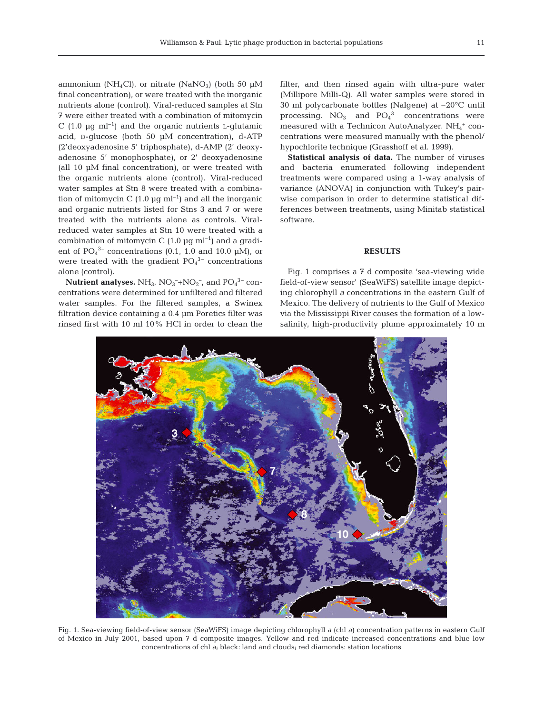ammonium (NH<sub>4</sub>Cl), or nitrate (NaNO<sub>3</sub>) (both 50  $\mu$ M final concentration), or were treated with the inorganic nutrients alone (control). Viral-reduced samples at Stn 7 were either treated with a combination of mitomycin C (1.0  $\mu$ q ml<sup>-1</sup>) and the organic nutrients L-qlutamic acid, D-glucose (both 50 µM concentration), d-ATP (2'deoxyadenosine 5' triphosphate), d-AMP (2' deoxyadenosine 5' monophosphate), or 2' deoxyadenosine (all 10 µM final concentration), or were treated with the organic nutrients alone (control). Viral-reduced water samples at Stn 8 were treated with a combination of mitomycin C  $(1.0 \text{ µq ml}^{-1})$  and all the inorganic and organic nutrients listed for Stns 3 and 7 or were treated with the nutrients alone as controls. Viralreduced water samples at Stn 10 were treated with a combination of mitomycin C  $(1.0 \text{ µg ml}^{-1})$  and a gradient of  $PO_4^{3-}$  concentrations (0.1, 1.0 and 10.0  $\mu$ M), or were treated with the gradient  $PO<sub>4</sub><sup>3-</sup>$  concentrations alone (control).

**Nutrient analyses.**  $\rm NH_3$ ,  $\rm NO_3^{-+}NO_2^{-}$ , and  $\rm PO_4^{3-}$  concentrations were determined for unfiltered and filtered water samples. For the filtered samples, a Swinex filtration device containing a 0.4 µm Poretics filter was rinsed first with 10 ml 10% HCl in order to clean the filter, and then rinsed again with ultra-pure water (Millipore Milli-Q). All water samples were stored in 30 ml polycarbonate bottles (Nalgene) at –20°C until processing.  $NO_3^-$  and  $PO_4^{3-}$  concentrations were measured with a Technicon AutoAnalyzer.  $NH_4^+$  concentrations were measured manually with the phenol/ hypochlorite technique (Grasshoff et al. 1999).

**Statistical analysis of data.** The number of viruses and bacteria enumerated following independent treatments were compared using a 1-way analysis of variance (ANOVA) in conjunction with Tukey's pairwise comparison in order to determine statistical differences between treatments, using Minitab statistical software.

### **RESULTS**

Fig. 1 comprises a 7 d composite 'sea-viewing wide field-of-view sensor' (SeaWiFS) satellite image depicting chlorophyll *a* concentrations in the eastern Gulf of Mexico. The delivery of nutrients to the Gulf of Mexico via the Mississippi River causes the formation of a lowsalinity, high-productivity plume approximately 10 m



Fig. 1. Sea-viewing field-of-view sensor (SeaWiFS) image depicting chlorophyll *a* (chl *a*) concentration patterns in eastern Gulf of Mexico in July 2001, based upon 7 d composite images. Yellow and red indicate increased concentrations and blue low concentrations of chl *a*; black: land and clouds; red diamonds: station locations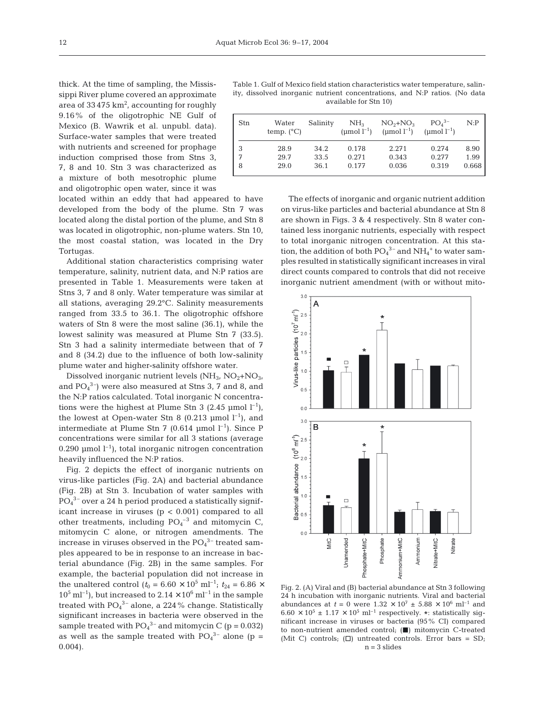thick. At the time of sampling, the Mississippi River plume covered an approximate area of 33 475  $\text{km}^2$ , accounting for roughly 9.16% of the oligotrophic NE Gulf of Mexico (B. Wawrik et al. unpubl. data). Surface-water samples that were treated with nutrients and screened for prophage induction comprised those from Stns 3, 7, 8 and 10. Stn 3 was characterized as a mixture of both mesotrophic plume and oligotrophic open water, since it was

located within an eddy that had appeared to have developed from the body of the plume. Stn 7 was located along the distal portion of the plume, and Stn 8 was located in oligotrophic, non-plume waters. Stn 10, the most coastal station, was located in the Dry Tortugas.

Additional station characteristics comprising water temperature, salinity, nutrient data, and N:P ratios are presented in Table 1. Measurements were taken at Stns 3, 7 and 8 only. Water temperature was similar at all stations, averaging 29.2°C. Salinity measurements ranged from 33.5 to 36.1. The oligotrophic offshore waters of Stn 8 were the most saline (36.1), while the lowest salinity was measured at Plume Stn 7 (33.5). Stn 3 had a salinity intermediate between that of 7 and 8 (34.2) due to the influence of both low-salinity plume water and higher-salinity offshore water.

Dissolved inorganic nutrient levels  $(NH<sub>3</sub>, NO<sub>2</sub>+NO<sub>3</sub>)$ and  $PO_4^3$ ) were also measured at Stns 3, 7 and 8, and the N:P ratios calculated. Total inorganic N concentrations were the highest at Plume Stn 3 (2.45 µmol  $l^{-1}$ ), the lowest at Open-water Stn 8 (0.213 µmol  $l^{-1}$ ), and intermediate at Plume Stn 7 (0.614 µmol  $l^{-1}$ ). Since P concentrations were similar for all 3 stations (average 0.290 µmol  $l^{-1}$ ), total inorganic nitrogen concentration heavily influenced the N:P ratios.

Fig. 2 depicts the effect of inorganic nutrients on virus-like particles (Fig. 2A) and bacterial abundance (Fig. 2B) at Stn 3. Incubation of water samples with PO4 3– over a 24 h period produced a statistically significant increase in viruses  $(p < 0.001)$  compared to all other treatments, including  $PO_4^{-3}$  and mitomycin C, mitomycin C alone, or nitrogen amendments. The increase in viruses observed in the  $PO_4^3$ <sup>-</sup> treated samples appeared to be in response to an increase in bacterial abundance (Fig. 2B) in the same samples. For example, the bacterial population did not increase in the unaltered control ( $t_0 = 6.60 \times 10^5$  ml<sup>-1</sup>;  $t_{24} = 6.86 \times$  $10^5$  ml<sup>-1</sup>), but increased to  $2.14 \times 10^6$  ml<sup>-1</sup> in the sample treated with  $PO_4^{3-}$  alone, a 224 % change. Statistically significant increases in bacteria were observed in the sample treated with  $PO_4^{3-}$  and mitomycin C (p = 0.032) as well as the sample treated with  $PO<sub>4</sub><sup>3-</sup>$  alone (p = 0.004).

Table 1. Gulf of Mexico field station characteristics water temperature, salinity, dissolved inorganic nutrient concentrations, and N:P ratios. (No data available for Stn 10)

| Stn | Water<br>temp. $(^{\circ}C)$ | Salinity | NH <sub>3</sub><br>(umol $l^{-1}$ ) | $NO2+NO3$<br>(umol $l^{-1}$ ) | $PO4$ <sup>3-</sup><br>(umol $l^{-1}$ ) | N: P  |
|-----|------------------------------|----------|-------------------------------------|-------------------------------|-----------------------------------------|-------|
| 3   | 28.9                         | 34.2     | 0.178                               | 2.271                         | 0.274                                   | 8.90  |
| 7   | 29.7                         | 33.5     | 0.271                               | 0.343                         | 0.277                                   | 1.99  |
| 8   | 29.0                         | 36.1     | 0.177                               | 0.036                         | 0.319                                   | 0.668 |

The effects of inorganic and organic nutrient addition on virus-like particles and bacterial abundance at Stn 8 are shown in Figs. 3 & 4 respectively. Stn 8 water contained less inorganic nutrients, especially with respect to total inorganic nitrogen concentration. At this station, the addition of both  $PO_4^{3-}$  and  $NH_4^+$  to water samples resulted in statistically significant increases in viral direct counts compared to controls that did not receive inorganic nutrient amendment (with or without mito-



Fig. 2. (A) Viral and (B) bacterial abundance at Stn 3 following 24 h incubation with inorganic nutrients. Viral and bacterial abundances at *t* = 0 were  $1.32 \times 10^7 \pm 5.88 \times 10^6 \text{ ml}^{-1}$  and  $6.60 \times 10^5 \pm 1.17 \times 10^5 \text{ ml}^{-1}$  respectively. \*: statistically significant increase in viruses or bacteria (95% CI) compared to non-nutrient amended control;  $(\blacksquare)$  mitomycin C-treated (Mit C) controls;  $(\Box)$  untreated controls. Error bars = SD;  $n = 3$  slides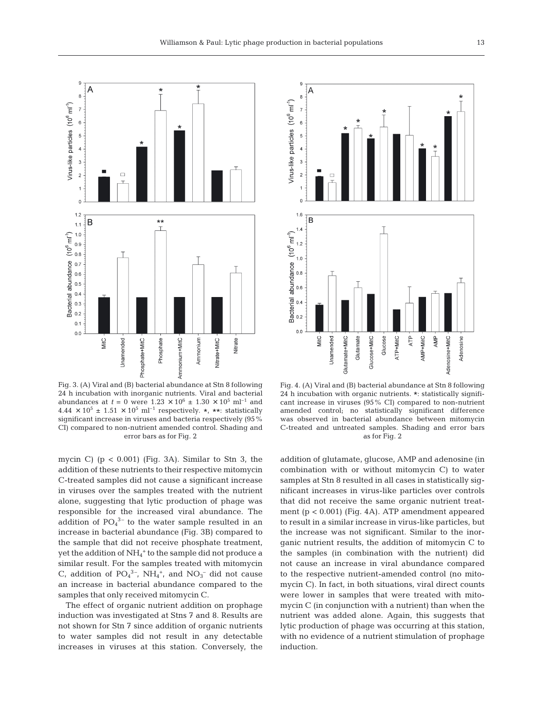$\epsilon$ 

A



Fig. 3. (A) Viral and (B) bacterial abundance at Stn 8 following 24 h incubation with inorganic nutrients. Viral and bacterial abundances at *t* = 0 were  $1.23 \times 10^6 \pm 1.30 \times 10^5 \text{ ml}^{-1}$  and  $4.44 \times 10^5 \pm 1.51 \times 10^5 \text{ ml}^{-1}$  respectively. \*, \*\*: statistically significant increase in viruses and bacteria respectively (95% CI) compared to non-nutrient amended control. Shading and error bars as for Fig. 2

mycin C) ( $p < 0.001$ ) (Fig. 3A). Similar to Stn 3, the addition of these nutrients to their respective mitomycin C-treated samples did not cause a significant increase in viruses over the samples treated with the nutrient alone, suggesting that lytic production of phage was responsible for the increased viral abundance. The addition of  $PO_4^{3-}$  to the water sample resulted in an increase in bacterial abundance (Fig. 3B) compared to the sample that did not receive phosphate treatment, yet the addition of  $\mathrm{NH}_4^+$  to the sample did not produce a similar result. For the samples treated with mitomycin C, addition of  $PO_4^3$ <sup>-</sup>, NH<sub>4</sub><sup>+</sup>, and NO<sub>3</sub><sup>-</sup> did not cause an increase in bacterial abundance compared to the samples that only received mitomycin C.

The effect of organic nutrient addition on prophage induction was investigated at Stns 7 and 8. Results are not shown for Stn 7 since addition of organic nutrients to water samples did not result in any detectable increases in viruses at this station. Conversely, the

 $\epsilon$ Virus-like particles (10<sup>6</sup> ml<sup>-1</sup>)  $\overline{1}$  $\epsilon$  $\epsilon$  $\overline{\phantom{a}}$  $\overline{\mathbf{3}}$  $\overline{c}$  $\overline{1}$ B  $(10^{6}$  ml<sup>-1</sup>)  $1.2$  $1.0$ abundance  $0.\delta$  $0.6$ **Bacterial**  $0.4$  $0.2$  $0.0$ ATP MitC Unamended Glutamate+MitC Glucose+MitC ATP+MitC AMP+MitC  $AMP$ Glutamate Glucose Adenosine+MitC Adenosine

Fig. 4. (A) Viral and (B) bacterial abundance at Stn 8 following 24 h incubation with organic nutrients. \*: statistically significant increase in viruses (95% CI) compared to non-nutrient amended control; no statistically significant difference was observed in bacterial abundance between mitomycin C-treated and untreated samples. Shading and error bars as for Fig. 2

addition of glutamate, glucose, AMP and adenosine (in combination with or without mitomycin C) to water samples at Stn 8 resulted in all cases in statistically significant increases in virus-like particles over controls that did not receive the same organic nutrient treatment (p < 0.001) (Fig. 4A). ATP amendment appeared to result in a similar increase in virus-like particles, but the increase was not significant. Similar to the inorganic nutrient results, the addition of mitomycin C to the samples (in combination with the nutrient) did not cause an increase in viral abundance compared to the respective nutrient-amended control (no mitomycin C). In fact, in both situations, viral direct counts were lower in samples that were treated with mitomycin C (in conjunction with a nutrient) than when the nutrient was added alone. Again, this suggests that lytic production of phage was occurring at this station, with no evidence of a nutrient stimulation of prophage induction.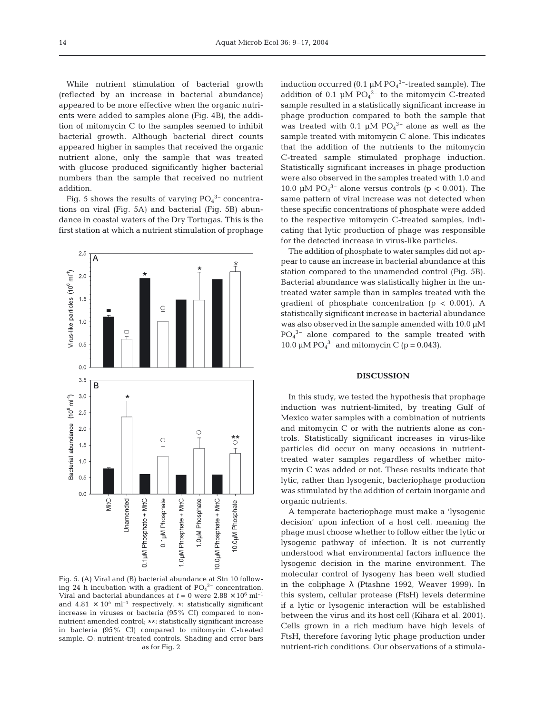While nutrient stimulation of bacterial growth (reflected by an increase in bacterial abundance) appeared to be more effective when the organic nutrients were added to samples alone (Fig. 4B), the addition of mitomycin C to the samples seemed to inhibit bacterial growth. Although bacterial direct counts appeared higher in samples that received the organic nutrient alone, only the sample that was treated with glucose produced significantly higher bacterial numbers than the sample that received no nutrient addition.

Fig. 5 shows the results of varying  $PO_4^{3-}$  concentrations on viral (Fig. 5A) and bacterial (Fig. 5B) abundance in coastal waters of the Dry Tortugas. This is the first station at which a nutrient stimulation of prophage



Fig. 5. (A) Viral and (B) bacterial abundance at Stn 10 following 24 h incubation with a gradient of  $PO<sub>4</sub><sup>3-</sup>$  concentration. Viral and bacterial abundances at  $t = 0$  were  $2.88 \times 10^6$  ml<sup>-1</sup> and 4.81  $\times$  10<sup>5</sup> ml<sup>-1</sup> respectively. \*: statistically significant increase in viruses or bacteria (95% CI) compared to nonnutrient amended control; \*\*: statistically significant increase in bacteria (95% CI) compared to mitomycin C-treated sample. O: nutrient-treated controls. Shading and error bars as for Fig. 2

induction occurred (0.1  $\mu$ M PO<sub>4</sub><sup>3-</sup>-treated sample). The addition of 0.1  $\mu$ M PO<sub>4</sub><sup>3-</sup> to the mitomycin C-treated sample resulted in a statistically significant increase in phage production compared to both the sample that was treated with 0.1  $\mu$ M PO<sub>4</sub><sup>3-</sup> alone as well as the sample treated with mitomycin C alone. This indicates that the addition of the nutrients to the mitomycin C-treated sample stimulated prophage induction. Statistically significant increases in phage production were also observed in the samples treated with 1.0 and 10.0 µM  $PO<sub>4</sub><sup>3-</sup>$  alone versus controls (p < 0.001). The same pattern of viral increase was not detected when these specific concentrations of phosphate were added to the respective mitomycin C-treated samples, indicating that lytic production of phage was responsible for the detected increase in virus-like particles.

The addition of phosphate to water samples did not appear to cause an increase in bacterial abundance at this station compared to the unamended control (Fig. 5B). Bacterial abundance was statistically higher in the untreated water sample than in samples treated with the gradient of phosphate concentration ( $p < 0.001$ ). A statistically significant increase in bacterial abundance was also observed in the sample amended with 10.0 µM  $PO<sub>4</sub><sup>3-</sup>$  alone compared to the sample treated with 10.0  $\mu$ M PO<sub>4</sub><sup>3-</sup> and mitomycin C (p = 0.043).

#### **DISCUSSION**

In this study, we tested the hypothesis that prophage induction was nutrient-limited, by treating Gulf of Mexico water samples with a combination of nutrients and mitomycin C or with the nutrients alone as controls. Statistically significant increases in virus-like particles did occur on many occasions in nutrienttreated water samples regardless of whether mitomycin C was added or not. These results indicate that lytic, rather than lysogenic, bacteriophage production was stimulated by the addition of certain inorganic and organic nutrients.

A temperate bacteriophage must make a 'lysogenic decision' upon infection of a host cell, meaning the phage must choose whether to follow either the lytic or lysogenic pathway of infection. It is not currently understood what environmental factors influence the lysogenic decision in the marine environment. The molecular control of lysogeny has been well studied in the coliphage  $\lambda$  (Ptashne 1992, Weaver 1999). In this system, cellular protease (FtsH) levels determine if a lytic or lysogenic interaction will be established between the virus and its host cell (Kihara et al. 2001). Cells grown in a rich medium have high levels of FtsH, therefore favoring lytic phage production under nutrient-rich conditions. Our observations of a stimula-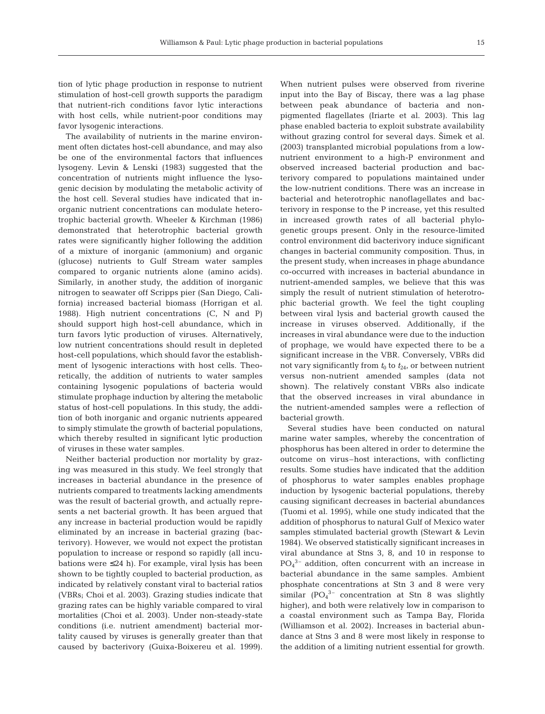tion of lytic phage production in response to nutrient stimulation of host-cell growth supports the paradigm that nutrient-rich conditions favor lytic interactions with host cells, while nutrient-poor conditions may favor lysogenic interactions.

The availability of nutrients in the marine environment often dictates host-cell abundance, and may also be one of the environmental factors that influences lysogeny. Levin & Lenski (1983) suggested that the concentration of nutrients might influence the lysogenic decision by modulating the metabolic activity of the host cell. Several studies have indicated that inorganic nutrient concentrations can modulate heterotrophic bacterial growth. Wheeler & Kirchman (1986) demonstrated that heterotrophic bacterial growth rates were significantly higher following the addition of a mixture of inorganic (ammonium) and organic (glucose) nutrients to Gulf Stream water samples compared to organic nutrients alone (amino acids). Similarly, in another study, the addition of inorganic nitrogen to seawater off Scripps pier (San Diego, California) increased bacterial biomass (Horrigan et al. 1988). High nutrient concentrations (C, N and P) should support high host-cell abundance, which in turn favors lytic production of viruses. Alternatively, low nutrient concentrations should result in depleted host-cell populations, which should favor the establishment of lysogenic interactions with host cells. Theoretically, the addition of nutrients to water samples containing lysogenic populations of bacteria would stimulate prophage induction by altering the metabolic status of host-cell populations. In this study, the addition of both inorganic and organic nutrients appeared to simply stimulate the growth of bacterial populations, which thereby resulted in significant lytic production of viruses in these water samples.

Neither bacterial production nor mortality by grazing was measured in this study. We feel strongly that increases in bacterial abundance in the presence of nutrients compared to treatments lacking amendments was the result of bacterial growth, and actually represents a net bacterial growth. It has been argued that any increase in bacterial production would be rapidly eliminated by an increase in bacterial grazing (bacterivory). However, we would not expect the protistan population to increase or respond so rapidly (all incubations were ≤24 h). For example, viral lysis has been shown to be tightly coupled to bacterial production, as indicated by relatively constant viral to bacterial ratios (VBRs; Choi et al. 2003). Grazing studies indicate that grazing rates can be highly variable compared to viral mortalities (Choi et al. 2003). Under non-steady-state conditions (i.e. nutrient amendment) bacterial mortality caused by viruses is generally greater than that caused by bacterivory (Guixa-Boixereu et al. 1999).

When nutrient pulses were observed from riverine input into the Bay of Biscay, there was a lag phase between peak abundance of bacteria and nonpigmented flagellates (Iriarte et al. 2003). This lag phase enabled bacteria to exploit substrate availability without grazing control for several days. Šimek et al. (2003) transplanted microbial populations from a lownutrient environment to a high-P environment and observed increased bacterial production and bacterivory compared to populations maintained under the low-nutrient conditions. There was an increase in bacterial and heterotrophic nanoflagellates and bacterivory in response to the P increase, yet this resulted in increased growth rates of all bacterial phylogenetic groups present. Only in the resource-limited control environment did bacterivory induce significant changes in bacterial community composition. Thus, in the present study, when increases in phage abundance co-occurred with increases in bacterial abundance in nutrient-amended samples, we believe that this was simply the result of nutrient stimulation of heterotrophic bacterial growth. We feel the tight coupling between viral lysis and bacterial growth caused the increase in viruses observed. Additionally, if the increases in viral abundance were due to the induction of prophage, we would have expected there to be a significant increase in the VBR. Conversely, VBRs did not vary significantly from  $t_0$  to  $t_{24}$ , or between nutrient versus non-nutrient amended samples (data not shown). The relatively constant VBRs also indicate that the observed increases in viral abundance in the nutrient-amended samples were a reflection of bacterial growth.

Several studies have been conducted on natural marine water samples, whereby the concentration of phosphorus has been altered in order to determine the outcome on virus–host interactions, with conflicting results. Some studies have indicated that the addition of phosphorus to water samples enables prophage induction by lysogenic bacterial populations, thereby causing significant decreases in bacterial abundances (Tuomi et al. 1995), while one study indicated that the addition of phosphorus to natural Gulf of Mexico water samples stimulated bacterial growth (Stewart & Levin 1984). We observed statistically significant increases in viral abundance at Stns 3, 8, and 10 in response to PO4 3– addition, often concurrent with an increase in bacterial abundance in the same samples. Ambient phosphate concentrations at Stn 3 and 8 were very similar  $(PO<sub>4</sub><sup>3-</sup>$  concentration at Stn 8 was slightly higher), and both were relatively low in comparison to a coastal environment such as Tampa Bay, Florida (Williamson et al. 2002). Increases in bacterial abundance at Stns 3 and 8 were most likely in response to the addition of a limiting nutrient essential for growth.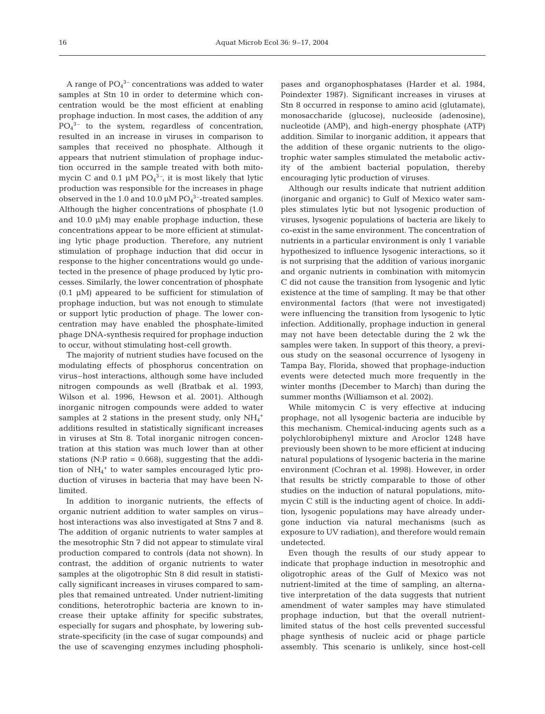A range of  $PO<sub>4</sub><sup>3-</sup>$  concentrations was added to water samples at Stn 10 in order to determine which concentration would be the most efficient at enabling prophage induction. In most cases, the addition of any  $PO<sub>4</sub><sup>3-</sup>$  to the system, regardless of concentration, resulted in an increase in viruses in comparison to samples that received no phosphate. Although it appears that nutrient stimulation of prophage induction occurred in the sample treated with both mitomycin C and  $0.1 \mu M$  PO $_4^{3-}$ , it is most likely that lytic production was responsible for the increases in phage observed in the 1.0 and 10.0  $\mu$ M PO<sub>4</sub><sup>3</sup>-treated samples. Although the higher concentrations of phosphate (1.0 and 10.0 µM) may enable prophage induction, these concentrations appear to be more efficient at stimulating lytic phage production. Therefore, any nutrient stimulation of prophage induction that did occur in response to the higher concentrations would go undetected in the presence of phage produced by lytic processes. Similarly, the lower concentration of phosphate (0.1 µM) appeared to be sufficient for stimulation of prophage induction, but was not enough to stimulate or support lytic production of phage. The lower concentration may have enabled the phosphate-limited phage DNA-synthesis required for prophage induction to occur, without stimulating host-cell growth.

The majority of nutrient studies have focused on the modulating effects of phosphorus concentration on virus–host interactions, although some have included nitrogen compounds as well (Bratbak et al. 1993, Wilson et al. 1996, Hewson et al. 2001). Although inorganic nitrogen compounds were added to water samples at 2 stations in the present study, only  $\mathrm{NH}_4{}^+$ additions resulted in statistically significant increases in viruses at Stn 8. Total inorganic nitrogen concentration at this station was much lower than at other stations (N:P ratio  $= 0.668$ ), suggesting that the addition of NH<sub>4</sub><sup>+</sup> to water samples encouraged lytic production of viruses in bacteria that may have been Nlimited.

In addition to inorganic nutrients, the effects of organic nutrient addition to water samples on virus– host interactions was also investigated at Stns 7 and 8. The addition of organic nutrients to water samples at the mesotrophic Stn 7 did not appear to stimulate viral production compared to controls (data not shown). In contrast, the addition of organic nutrients to water samples at the oligotrophic Stn 8 did result in statistically significant increases in viruses compared to samples that remained untreated. Under nutrient-limiting conditions, heterotrophic bacteria are known to increase their uptake affinity for specific substrates, especially for sugars and phosphate, by lowering substrate-specificity (in the case of sugar compounds) and the use of scavenging enzymes including phospholi-

pases and organophosphatases (Harder et al. 1984, Poindexter 1987). Significant increases in viruses at Stn 8 occurred in response to amino acid (glutamate), monosaccharide (glucose), nucleoside (adenosine), nucleotide (AMP), and high-energy phosphate (ATP) addition. Similar to inorganic addition, it appears that the addition of these organic nutrients to the oligotrophic water samples stimulated the metabolic activity of the ambient bacterial population, thereby encouraging lytic production of viruses.

Although our results indicate that nutrient addition (inorganic and organic) to Gulf of Mexico water samples stimulates lytic but not lysogenic production of viruses, lysogenic populations of bacteria are likely to co-exist in the same environment. The concentration of nutrients in a particular environment is only 1 variable hypothesized to influence lysogenic interactions, so it is not surprising that the addition of various inorganic and organic nutrients in combination with mitomycin C did not cause the transition from lysogenic and lytic existence at the time of sampling. It may be that other environmental factors (that were not investigated) were influencing the transition from lysogenic to lytic infection. Additionally, prophage induction in general may not have been detectable during the 2 wk the samples were taken. In support of this theory, a previous study on the seasonal occurrence of lysogeny in Tampa Bay, Florida, showed that prophage-induction events were detected much more frequently in the winter months (December to March) than during the summer months (Williamson et al. 2002).

While mitomycin C is very effective at inducing prophage, not all lysogenic bacteria are inducible by this mechanism. Chemical-inducing agents such as a polychlorobiphenyl mixture and Aroclor 1248 have previously been shown to be more efficient at inducing natural populations of lysogenic bacteria in the marine environment (Cochran et al. 1998). However, in order that results be strictly comparable to those of other studies on the induction of natural populations, mitomycin C still is the inducting agent of choice. In addition, lysogenic populations may have already undergone induction via natural mechanisms (such as exposure to UV radiation), and therefore would remain undetected.

Even though the results of our study appear to indicate that prophage induction in mesotrophic and oligotrophic areas of the Gulf of Mexico was not nutrient-limited at the time of sampling, an alternative interpretation of the data suggests that nutrient amendment of water samples may have stimulated prophage induction, but that the overall nutrientlimited status of the host cells prevented successful phage synthesis of nucleic acid or phage particle assembly. This scenario is unlikely, since host-cell